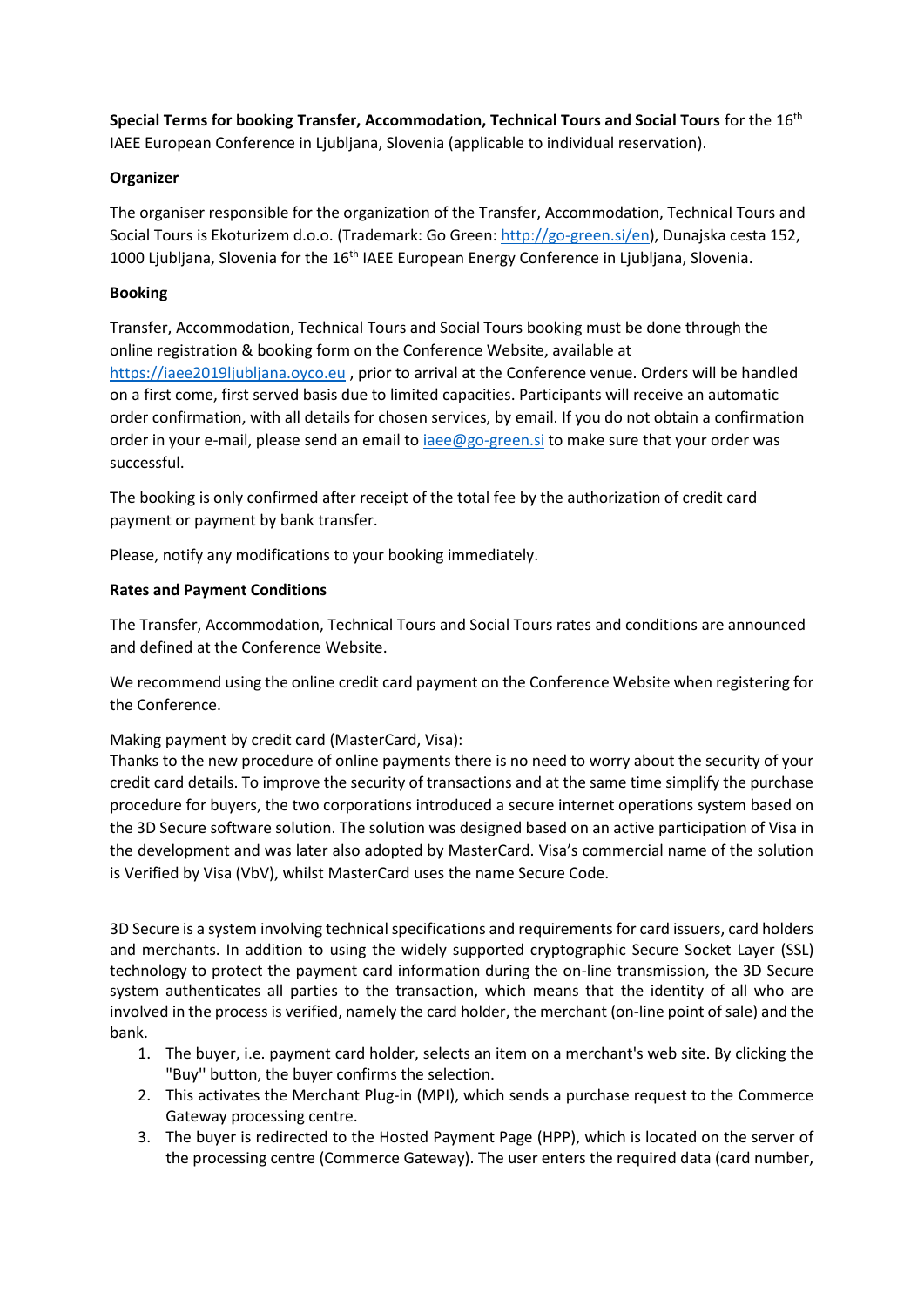**Special Terms for booking Transfer, Accommodation, Technical Tours and Social Tours** for the 16th IAEE European Conference in Ljubljana, Slovenia (applicable to individual reservation).

## **Organizer**

The organiser responsible for the organization of the Transfer, Accommodation, Technical Tours and Social Tours is Ekoturizem d.o.o. (Trademark: Go Green: [http://go-green.si/en\)](http://go-green.si/en), Dunajska cesta 152, 1000 Ljubljana, Slovenia for the 16<sup>th</sup> IAEE European Energy Conference in Ljubljana, Slovenia.

## **Booking**

Transfer, Accommodation, Technical Tours and Social Tours booking must be done through the online registration & booking form on the Conference Website, available at [https://iaee2019ljubljana.oyco.eu](https://iaee2019ljubljana.oyco.eu/) , prior to arrival at the Conference venue. Orders will be handled on a first come, first served basis due to limited capacities. Participants will receive an automatic order confirmation, with all details for chosen services, by email. If you do not obtain a confirmation order in your e-mail, please send an email t[o iaee@go-green.si](mailto:iaee@go-green.si) to make sure that your order was successful.

The booking is only confirmed after receipt of the total fee by the authorization of credit card payment or payment by bank transfer.

Please, notify any modifications to your booking immediately.

## **Rates and Payment Conditions**

The Transfer, Accommodation, Technical Tours and Social Tours rates and conditions are announced and defined at the Conference Website.

We recommend using the online credit card payment on the Conference Website when registering for the Conference.

Making payment by credit card (MasterCard, Visa):

Thanks to the new procedure of online payments there is no need to worry about the security of your credit card details. To improve the security of transactions and at the same time simplify the purchase procedure for buyers, the two corporations introduced a secure internet operations system based on the 3D Secure software solution. The solution was designed based on an active participation of Visa in the development and was later also adopted by MasterCard. Visa's commercial name of the solution is Verified by Visa (VbV), whilst MasterCard uses the name Secure Code.

3D Secure is a system involving technical specifications and requirements for card issuers, card holders and merchants. In addition to using the widely supported cryptographic Secure Socket Layer (SSL) technology to protect the payment card information during the on-line transmission, the 3D Secure system authenticates all parties to the transaction, which means that the identity of all who are involved in the process is verified, namely the card holder, the merchant (on-line point of sale) and the bank.

- 1. The buyer, i.e. payment card holder, selects an item on a merchant's web site. By clicking the "Buy'' button, the buyer confirms the selection.
- 2. This activates the Merchant Plug-in (MPI), which sends a purchase request to the Commerce Gateway processing centre.
- 3. The buyer is redirected to the Hosted Payment Page (HPP), which is located on the server of the processing centre (Commerce Gateway). The user enters the required data (card number,